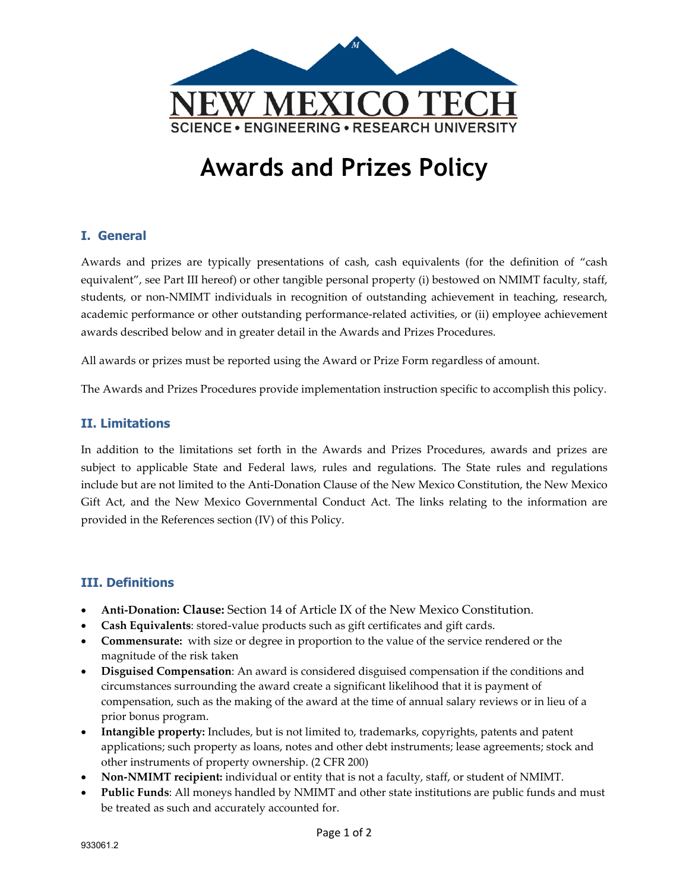

# **Awards and Prizes Policy**

#### **I. General**

Awards and prizes are typically presentations of cash, cash equivalents (for the definition of "cash equivalent", see Part III hereof) or other tangible personal property (i) bestowed on NMIMT faculty, staff, students, or non‐NMIMT individuals in recognition of outstanding achievement in teaching, research, academic performance or other outstanding performance‐related activities, or (ii) employee achievement awards described below and in greater detail in the Awards and Prizes Procedures.

All awards or prizes must be reported using the Award or Prize Form regardless of amount.

The Awards and Prizes Procedures provide implementation instruction specific to accomplish this policy.

#### **II. Limitations**

In addition to the limitations set forth in the Awards and Prizes Procedures, awards and prizes are subject to applicable State and Federal laws, rules and regulations. The State rules and regulations include but are not limited to the Anti‐Donation Clause of the New Mexico Constitution, the New Mexico Gift Act, and the New Mexico Governmental Conduct Act. The links relating to the information are provided in the References section (IV) of this Policy.

#### **III. Definitions**

- **Anti‐Donation: Clause:** Section 14 of Article IX of the New Mexico Constitution.
- **Cash Equivalents**: stored‐value products such as gift certificates and gift cards.
- **Commensurate:** with size or degree in proportion to the value of the service rendered or the magnitude of the risk taken
- **Disguised Compensation**: An award is considered disguised compensation if the conditions and circumstances surrounding the award create a significant likelihood that it is payment of compensation, such as the making of the award at the time of annual salary reviews or in lieu of a prior bonus program.
- **Intangible property:** Includes, but is not limited to, trademarks, copyrights, patents and patent applications; such property as loans, notes and other debt instruments; lease agreements; stock and other instruments of property ownership. (2 CFR 200)
- **Non‐NMIMT recipient:** individual or entity that is not a faculty, staff, or student of NMIMT.
- **Public Funds**: All moneys handled by NMIMT and other state institutions are public funds and must be treated as such and accurately accounted for.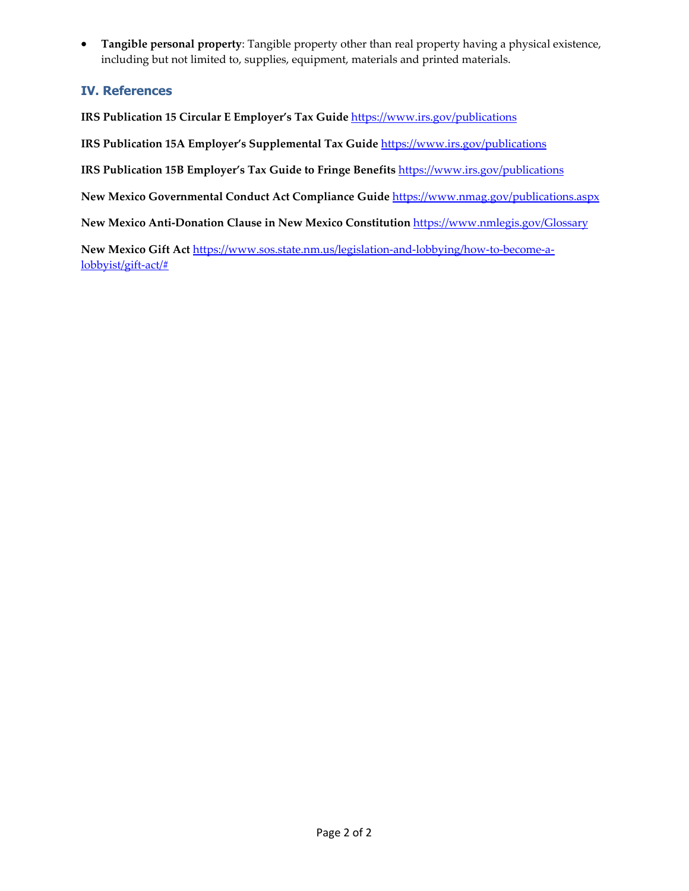**Tangible personal property**: Tangible property other than real property having a physical existence, including but not limited to, supplies, equipment, materials and printed materials.

### **IV. References**

**IRS Publication 15 Circular E Employer's Tax Guide** https://www.irs.gov/publications

**IRS Publication 15A Employer's Supplemental Tax Guide** https://www.irs.gov/publications

**IRS Publication 15B Employer's Tax Guide to Fringe Benefits** https://www.irs.gov/publications

**New Mexico Governmental Conduct Act Compliance Guide** https://www.nmag.gov/publications.aspx

**New Mexico Anti‐Donation Clause in New Mexico Constitution** https://www.nmlegis.gov/Glossary

**New Mexico Gift Act** https://www.sos.state.nm.us/legislation‐and‐lobbying/how‐to‐become‐a‐ lobbyist/gift‐act/#